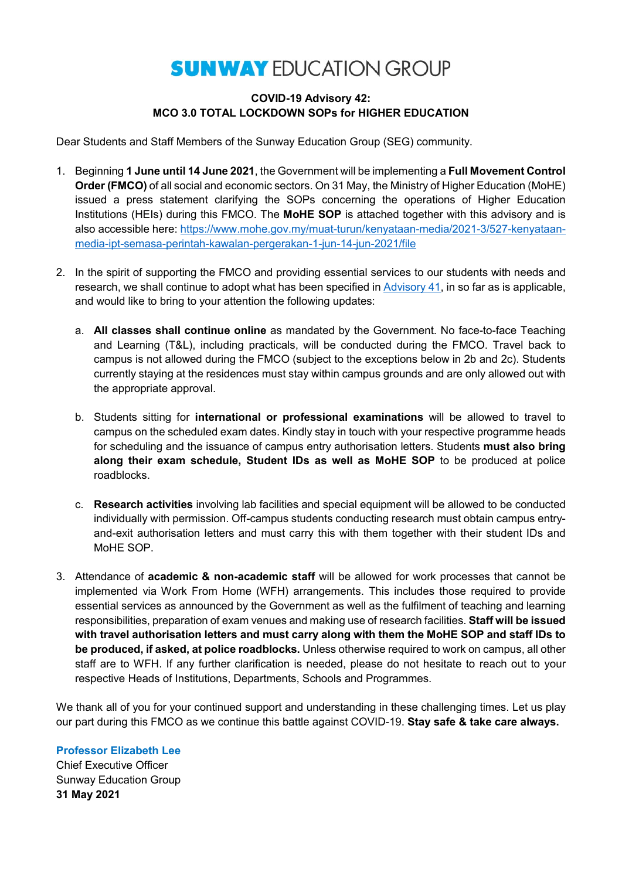# **SUNWAY EDUCATION GROUP**

# **COVID-19 Advisory 42: MCO 3.0 TOTAL LOCKDOWN SOPs for HIGHER EDUCATION**

Dear Students and Staff Members of the Sunway Education Group (SEG) community.

- 1. Beginning **1 June until 14 June 2021**, the Government will be implementing a **Full Movement Control Order (FMCO)** of all social and economic sectors. On 31 May, the Ministry of Higher Education (MoHE) issued a press statement clarifying the SOPs concerning the operations of Higher Education Institutions (HEIs) during this FMCO. The **MoHE SOP** is attached together with this advisory and is also accessible here: [https://www.mohe.gov.my/muat-turun/kenyataan-media/2021-3/527-kenyataan](https://www.mohe.gov.my/muat-turun/kenyataan-media/2021-3/527-kenyataan-media-ipt-semasa-perintah-kawalan-pergerakan-1-jun-14-jun-2021/file)[media-ipt-semasa-perintah-kawalan-pergerakan-1-jun-14-jun-2021/file](https://www.mohe.gov.my/muat-turun/kenyataan-media/2021-3/527-kenyataan-media-ipt-semasa-perintah-kawalan-pergerakan-1-jun-14-jun-2021/file)
- 2. In the spirit of supporting the FMCO and providing essential services to our students with needs and research, we shall continue to adopt what has been specified in [Advisory 41,](https://sunway.edu.my/sites/default/files/COVID_19_Advisory_41.pdf) in so far as is applicable, and would like to bring to your attention the following updates:
	- a. **All classes shall continue online** as mandated by the Government. No face-to-face Teaching and Learning (T&L), including practicals, will be conducted during the FMCO. Travel back to campus is not allowed during the FMCO (subject to the exceptions below in 2b and 2c). Students currently staying at the residences must stay within campus grounds and are only allowed out with the appropriate approval.
	- b. Students sitting for **international or professional examinations** will be allowed to travel to campus on the scheduled exam dates. Kindly stay in touch with your respective programme heads for scheduling and the issuance of campus entry authorisation letters. Students **must also bring along their exam schedule, Student IDs as well as MoHE SOP** to be produced at police roadblocks.
	- c. **Research activities** involving lab facilities and special equipment will be allowed to be conducted individually with permission. Off-campus students conducting research must obtain campus entryand-exit authorisation letters and must carry this with them together with their student IDs and MoHE SOP.
- 3. Attendance of **academic & non-academic staff** will be allowed for work processes that cannot be implemented via Work From Home (WFH) arrangements. This includes those required to provide essential services as announced by the Government as well as the fulfilment of teaching and learning responsibilities, preparation of exam venues and making use of research facilities. **Staff will be issued with travel authorisation letters and must carry along with them the MoHE SOP and staff IDs to be produced, if asked, at police roadblocks.** Unless otherwise required to work on campus, all other staff are to WFH. If any further clarification is needed, please do not hesitate to reach out to your respective Heads of Institutions, Departments, Schools and Programmes.

We thank all of you for your continued support and understanding in these challenging times. Let us play our part during this FMCO as we continue this battle against COVID-19. **Stay safe & take care always.**

**Professor Elizabeth Lee**

Chief Executive Officer Sunway Education Group **31 May 2021**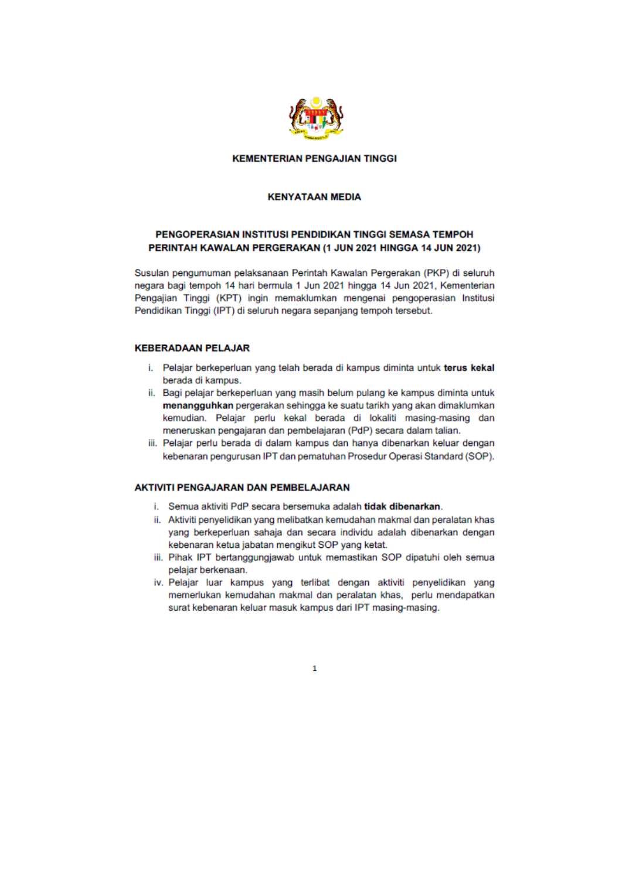

#### **KEMENTERIAN PENGAJIAN TINGGI**

#### **KENYATAAN MEDIA**

# PENGOPERASIAN INSTITUSI PENDIDIKAN TINGGI SEMASA TEMPOH PERINTAH KAWALAN PERGERAKAN (1 JUN 2021 HINGGA 14 JUN 2021)

Susulan pengumuman pelaksanaan Perintah Kawalan Pergerakan (PKP) di seluruh negara bagi tempoh 14 hari bermula 1 Jun 2021 hingga 14 Jun 2021, Kementerian Pengajian Tinggi (KPT) ingin memaklumkan mengenai pengoperasian Institusi Pendidikan Tinggi (IPT) di seluruh negara sepanjang tempoh tersebut.

# **KEBERADAAN PELAJAR**

- i. Pelajar berkeperluan yang telah berada di kampus diminta untuk terus kekal berada di kampus.
- ii. Bagi pelajar berkeperluan yang masih belum pulang ke kampus diminta untuk menangguhkan pergerakan sehingga ke suatu tarikh yang akan dimaklumkan kemudian. Pelajar perlu kekal berada di lokaliti masing-masing dan meneruskan pengajaran dan pembelajaran (PdP) secara dalam talian.
- iii. Pelajar perlu berada di dalam kampus dan hanya dibenarkan keluar dengan kebenaran pengurusan IPT dan pematuhan Prosedur Operasi Standard (SOP).

## **AKTIVITI PENGAJARAN DAN PEMBELAJARAN**

- i. Semua aktiviti PdP secara bersemuka adalah tidak dibenarkan.
- ii. Aktiviti penyelidikan yang melibatkan kemudahan makmal dan peralatan khas yang berkeperluan sahaja dan secara individu adalah dibenarkan dengan kebenaran ketua jabatan mengikut SOP yang ketat.
- iii. Pihak IPT bertanggungjawab untuk memastikan SOP dipatuhi oleh semua pelajar berkenaan.
- iv. Pelajar luar kampus yang terlibat dengan aktiviti penyelidikan yang memerlukan kemudahan makmal dan peralatan khas, perlu mendapatkan surat kebenaran keluar masuk kampus dari IPT masing-masing.

 $\mathbf{1}$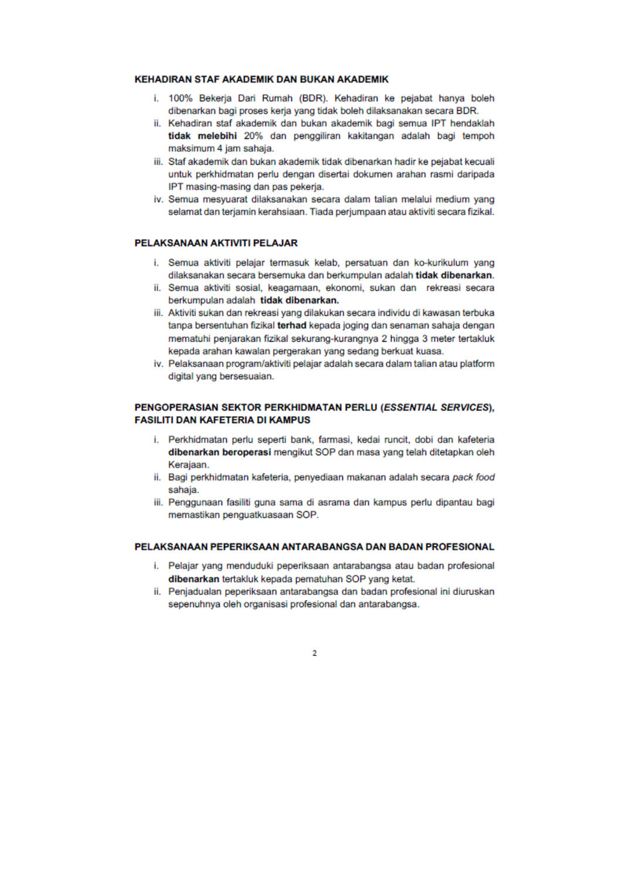#### **KEHADIRAN STAF AKADEMIK DAN BUKAN AKADEMIK**

- i. 100% Bekerja Dari Rumah (BDR). Kehadiran ke pejabat hanya boleh dibenarkan bagi proses keria yang tidak boleh dilaksanakan secara BDR.
- ii. Kehadiran staf akademik dan bukan akademik bagi semua IPT hendaklah tidak melebihi 20% dan penggiliran kakitangan adalah bagi tempoh maksimum 4 jam sahaja.
- iii. Staf akademik dan bukan akademik tidak dibenarkan hadir ke pejabat kecuali untuk perkhidmatan perlu dengan disertai dokumen arahan rasmi daripada IPT masing-masing dan pas pekerja.
- iv. Semua mesyuarat dilaksanakan secara dalam talian melalui medium yang selamat dan terjamin kerahsiaan. Tiada perjumpaan atau aktiviti secara fizikal.

#### PELAKSANAAN AKTIVITI PELAJAR

- i. Semua aktiviti pelajar termasuk kelab, persatuan dan ko-kurikulum yang dilaksanakan secara bersemuka dan berkumpulan adalah tidak dibenarkan.
- ii. Semua aktiviti sosial, keagamaan, ekonomi, sukan dan rekreasi secara berkumpulan adalah tidak dibenarkan.
- iii. Aktiviti sukan dan rekreasi yang dilakukan secara individu di kawasan terbuka tanpa bersentuhan fizikal terhad kepada joging dan senaman sahaja dengan mematuhi penjarakan fizikal sekurang-kurangnya 2 hingga 3 meter tertakluk kepada arahan kawalan pergerakan yang sedang berkuat kuasa.
- iv. Pelaksanaan program/aktiviti pelajar adalah secara dalam talian atau platform digital vang bersesuaian.

## PENGOPERASIAN SEKTOR PERKHIDMATAN PERLU (ESSENTIAL SERVICES). **FASILITI DAN KAFETERIA DI KAMPUS**

- i. Perkhidmatan perlu seperti bank, farmasi, kedai runcit, dobi dan kafeteria dibenarkan beroperasi mengikut SOP dan masa yang telah ditetapkan oleh Keraiaan.
- ii. Bagi perkhidmatan kafeteria, penyediaan makanan adalah secara pack food sahaja.
- iii. Penggunaan fasiliti guna sama di asrama dan kampus perlu dipantau bagi memastikan penguatkuasaan SOP.

# PELAKSANAAN PEPERIKSAAN ANTARABANGSA DAN BADAN PROFESIONAL

- i. Pelajar yang menduduki peperiksaan antarabangsa atau badan profesional dibenarkan tertakluk kepada pematuhan SOP yang ketat.
- ii. Penjadualan peperiksaan antarabangsa dan badan profesional ini diuruskan sepenuhnya oleh organisasi profesional dan antarabangsa.

<sub>2</sub>